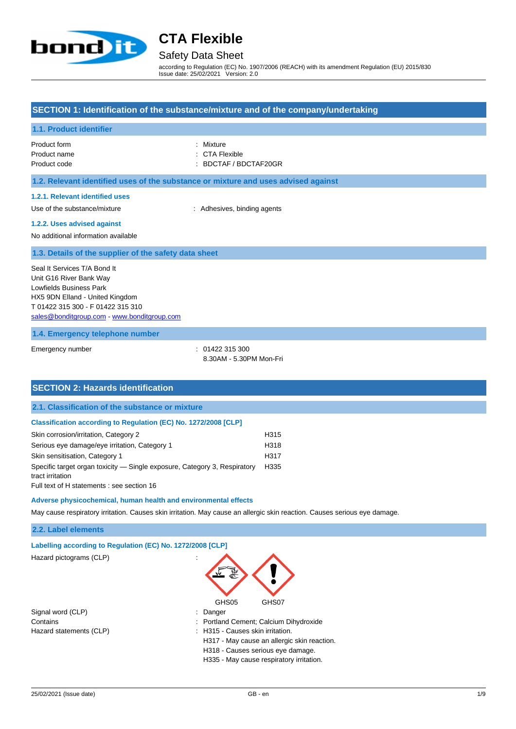

## Safety Data Sheet

according to Regulation (EC) No. 1907/2006 (REACH) with its amendment Regulation (EU) 2015/830 Issue date: 25/02/2021 Version: 2.0

#### **SECTION 1: Identification of the substance/mixture and of the company/undertaking**

#### **1.1. Product identifier**

Product form **: Mixture** Product name : CTA Flexible

Product code : BDCTAF / BDCTAF20GR

#### **1.2. Relevant identified uses of the substance or mixture and uses advised against**

#### **1.2.1. Relevant identified uses**

Use of the substance/mixture : Adhesives, binding agents

#### **1.2.2. Uses advised against**

No additional information available

#### **1.3. Details of the supplier of the safety data sheet**

Seal It Services T/A Bond It Unit G16 River Bank Way Lowfields Business Park HX5 9DN Elland - United Kingdom T 01422 315 300 - F 01422 315 310 [sales@bonditgroup.com](mailto:sales@bonditgroup.com) - <www.bonditgroup.com>

#### **1.4. Emergency telephone number**

Emergency number : 01422 315 300

8.30AM - 5.30PM Mon-Fri

| <b>SECTION 2: Hazards identification</b>                                                                                                    |      |
|---------------------------------------------------------------------------------------------------------------------------------------------|------|
| 2.1. Classification of the substance or mixture                                                                                             |      |
| Classification according to Regulation (EC) No. 1272/2008 [CLP]                                                                             |      |
| Skin corrosion/irritation, Category 2                                                                                                       | H315 |
| Serious eye damage/eye irritation, Category 1                                                                                               | H318 |
| Skin sensitisation, Category 1                                                                                                              | H317 |
| Specific target organ toxicity — Single exposure, Category 3, Respiratory<br>tract irritation<br>Full text of H statements : see section 16 | H335 |
| Adverse physicochemical, human health and environmental effects                                                                             |      |

May cause respiratory irritation. Causes skin irritation. May cause an allergic skin reaction. Causes serious eye damage.

#### **2.2. Label elements**

#### **Labelling according to Regulation (EC) No. 1272/2008 [CLP]**

Hazard pictograms (CLP) :

| Signal word (CLP)       |
|-------------------------|
| Contains                |
| Hazard statements (CLP) |



- : Portland Cement; Calcium Dihydroxide
- : H315 Causes skin irritation.
- H317 May cause an allergic skin reaction.
- H318 Causes serious eye damage.
- H335 May cause respiratory irritation.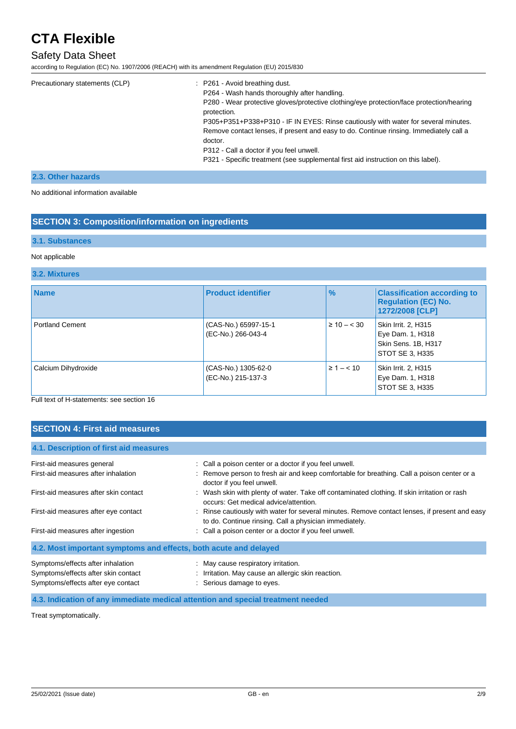### Safety Data Sheet

according to Regulation (EC) No. 1907/2006 (REACH) with its amendment Regulation (EU) 2015/830

| Precautionary statements (CLP) | : P261 - Avoid breathing dust.                                                                          |
|--------------------------------|---------------------------------------------------------------------------------------------------------|
|                                | P264 - Wash hands thoroughly after handling.                                                            |
|                                | P280 - Wear protective gloves/protective clothing/eye protection/face protection/hearing<br>protection. |
|                                | P305+P351+P338+P310 - IF IN EYES: Rinse cautiously with water for several minutes.                      |
|                                | Remove contact lenses, if present and easy to do. Continue rinsing. Immediately call a<br>doctor.       |
|                                | P312 - Call a doctor if you feel unwell.                                                                |
|                                | P321 - Specific treatment (see supplemental first aid instruction on this label).                       |

#### **2.3. Other hazards**

No additional information available

### **SECTION 3: Composition/information on ingredients**

#### **3.1. Substances**

#### Not applicable

#### **3.2. Mixtures**

| <b>Name</b>            | <b>Product identifier</b>                  | $\frac{9}{6}$    | <b>Classification according to</b><br><b>Regulation (EC) No.</b><br>1272/2008 [CLP] |
|------------------------|--------------------------------------------|------------------|-------------------------------------------------------------------------------------|
| <b>Portland Cement</b> | (CAS-No.) 65997-15-1<br>(EC-No.) 266-043-4 | $\geq 10 - < 30$ | Skin Irrit. 2, H315<br>Eye Dam. 1, H318<br>Skin Sens. 1B, H317<br>STOT SE 3, H335   |
| Calcium Dihydroxide    | (CAS-No.) 1305-62-0<br>(EC-No.) 215-137-3  | $\geq 1 - < 10$  | Skin Irrit. 2, H315<br>Eye Dam. 1, H318<br>STOT SE 3, H335                          |

## Full text of H-statements: see section 16

### **SECTION 4: First aid measures**

| 4.1. Description of first aid measures                           |                                                                                                                                                         |
|------------------------------------------------------------------|---------------------------------------------------------------------------------------------------------------------------------------------------------|
| First-aid measures general                                       | : Call a poison center or a doctor if you feel unwell.                                                                                                  |
| First-aid measures after inhalation                              | : Remove person to fresh air and keep comfortable for breathing. Call a poison center or a<br>doctor if you feel unwell.                                |
| First-aid measures after skin contact                            | : Wash skin with plenty of water. Take off contaminated clothing. If skin irritation or rash<br>occurs: Get medical advice/attention.                   |
| First-aid measures after eye contact                             | : Rinse cautiously with water for several minutes. Remove contact lenses, if present and easy<br>to do. Continue rinsing. Call a physician immediately. |
| First-aid measures after ingestion                               | : Call a poison center or a doctor if you feel unwell.                                                                                                  |
| 4.2. Most important symptoms and effects, both acute and delayed |                                                                                                                                                         |
| Symptoms/effects after inhalation                                | : May cause respiratory irritation.                                                                                                                     |
| Symptoms/effects after skin contact                              | : Irritation. May cause an allergic skin reaction.                                                                                                      |
| Symptoms/effects after eye contact                               | : Serious damage to eyes.                                                                                                                               |

**4.3. Indication of any immediate medical attention and special treatment needed**

Treat symptomatically.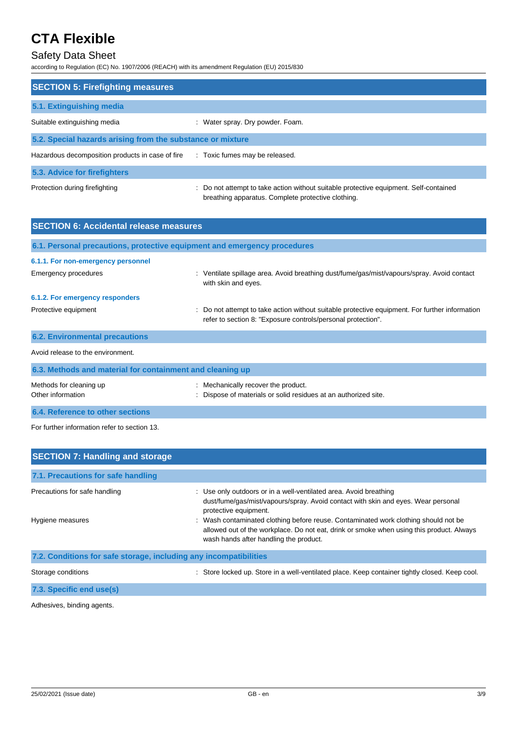## Safety Data Sheet

according to Regulation (EC) No. 1907/2006 (REACH) with its amendment Regulation (EU) 2015/830

| <b>SECTION 5: Firefighting measures</b>                    |                                                                                                                                             |
|------------------------------------------------------------|---------------------------------------------------------------------------------------------------------------------------------------------|
|                                                            |                                                                                                                                             |
| 5.1. Extinguishing media                                   |                                                                                                                                             |
| Suitable extinguishing media                               | : Water spray. Dry powder. Foam.                                                                                                            |
| 5.2. Special hazards arising from the substance or mixture |                                                                                                                                             |
| Hazardous decomposition products in case of fire           | : Toxic fumes may be released.                                                                                                              |
| 5.3. Advice for firefighters                               |                                                                                                                                             |
| Protection during firefighting                             | : Do not attempt to take action without suitable protective equipment. Self-contained<br>breathing apparatus. Complete protective clothing. |

| <b>SECTION 6: Accidental release measures</b>                            |                                                                                                                                                                |  |
|--------------------------------------------------------------------------|----------------------------------------------------------------------------------------------------------------------------------------------------------------|--|
| 6.1. Personal precautions, protective equipment and emergency procedures |                                                                                                                                                                |  |
| 6.1.1. For non-emergency personnel                                       |                                                                                                                                                                |  |
| Emergency procedures                                                     | Ventilate spillage area. Avoid breathing dust/fume/gas/mist/vapours/spray. Avoid contact<br>with skin and eyes.                                                |  |
| 6.1.2. For emergency responders                                          |                                                                                                                                                                |  |
| Protective equipment                                                     | : Do not attempt to take action without suitable protective equipment. For further information<br>refer to section 8: "Exposure controls/personal protection". |  |
| <b>6.2. Environmental precautions</b>                                    |                                                                                                                                                                |  |
| Avoid release to the environment.                                        |                                                                                                                                                                |  |
| 6.3. Methods and material for containment and cleaning up                |                                                                                                                                                                |  |
| Methods for cleaning up<br>Other information                             | : Mechanically recover the product.<br>: Dispose of materials or solid residues at an authorized site.                                                         |  |

**6.4. Reference to other sections**

For further information refer to section 13.

| <b>SECTION 7: Handling and storage</b>                            |                                                                                                                                                                                                                                                                                                                                                                                                              |
|-------------------------------------------------------------------|--------------------------------------------------------------------------------------------------------------------------------------------------------------------------------------------------------------------------------------------------------------------------------------------------------------------------------------------------------------------------------------------------------------|
| 7.1. Precautions for safe handling                                |                                                                                                                                                                                                                                                                                                                                                                                                              |
| Precautions for safe handling<br>Hygiene measures                 | : Use only outdoors or in a well-ventilated area. Avoid breathing<br>dust/fume/gas/mist/vapours/spray. Avoid contact with skin and eyes. Wear personal<br>protective equipment.<br>: Wash contaminated clothing before reuse. Contaminated work clothing should not be<br>allowed out of the workplace. Do not eat, drink or smoke when using this product. Always<br>wash hands after handling the product. |
| 7.2. Conditions for safe storage, including any incompatibilities |                                                                                                                                                                                                                                                                                                                                                                                                              |
| Storage conditions                                                | : Store locked up. Store in a well-ventilated place. Keep container tightly closed. Keep cool.                                                                                                                                                                                                                                                                                                               |

**7.3. Specific end use(s)**

Adhesives, binding agents.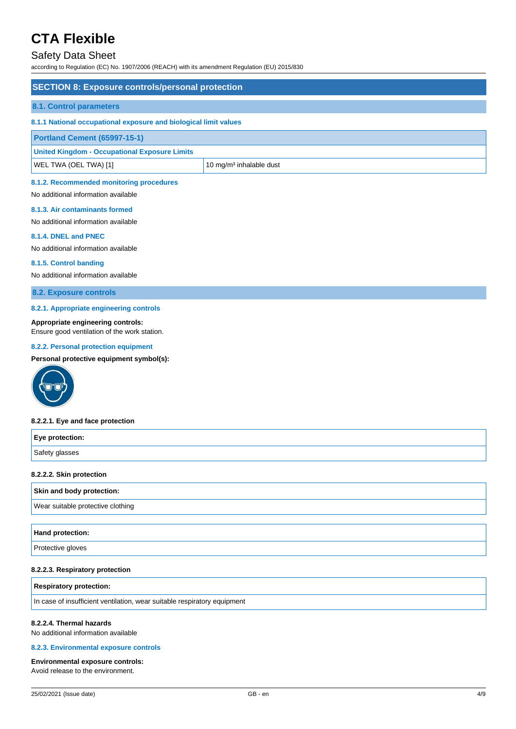### Safety Data Sheet

according to Regulation (EC) No. 1907/2006 (REACH) with its amendment Regulation (EU) 2015/830

| <b>SECTION 8: Exposure controls/personal protection</b>                         |                                     |
|---------------------------------------------------------------------------------|-------------------------------------|
| 8.1. Control parameters                                                         |                                     |
| 8.1.1 National occupational exposure and biological limit values                |                                     |
| Portland Cement (65997-15-1)                                                    |                                     |
| <b>United Kingdom - Occupational Exposure Limits</b>                            |                                     |
| WEL TWA (OEL TWA) [1]                                                           | 10 mg/m <sup>3</sup> inhalable dust |
| 8.1.2. Recommended monitoring procedures<br>No additional information available |                                     |

#### **8.1.3. Air contaminants formed**

No additional information available

#### **8.1.4. DNEL and PNEC**

No additional information available

#### **8.1.5. Control banding**

No additional information available

**8.2. Exposure controls**

#### **8.2.1. Appropriate engineering controls**

#### **Appropriate engineering controls:**

Ensure good ventilation of the work station.

#### **8.2.2. Personal protection equipment**

**Personal protective equipment symbol(s):**



#### **8.2.2.1. Eye and face protection**

| Eye protection: |  |
|-----------------|--|
| Safety glasses  |  |

#### **8.2.2.2. Skin protection**

#### **Skin and body protection:**

Wear suitable protective clothing

| Hand protection:  |  |
|-------------------|--|
| Protective gloves |  |

#### **8.2.2.3. Respiratory protection**

#### **Respiratory protection:**

In case of insufficient ventilation, wear suitable respiratory equipment

#### **8.2.2.4. Thermal hazards**

No additional information available

#### **8.2.3. Environmental exposure controls**

#### **Environmental exposure controls:**

Avoid release to the environment.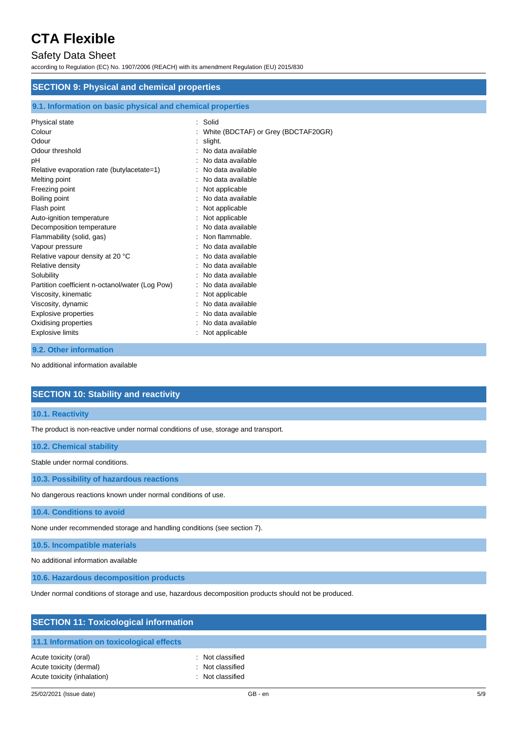### Safety Data Sheet

according to Regulation (EC) No. 1907/2006 (REACH) with its amendment Regulation (EU) 2015/830

| <b>SECTION 9: Physical and chemical properties</b>         |                                     |  |
|------------------------------------------------------------|-------------------------------------|--|
| 9.1. Information on basic physical and chemical properties |                                     |  |
| Physical state                                             | Solid                               |  |
| Colour                                                     | White (BDCTAF) or Grey (BDCTAF20GR) |  |
| Odour                                                      | slight.                             |  |
| Odour threshold                                            | No data available                   |  |
| pН                                                         | No data available                   |  |
| Relative evaporation rate (butylacetate=1)                 | No data available                   |  |
| Melting point                                              | No data available                   |  |
| Freezing point                                             | Not applicable                      |  |
| Boiling point                                              | No data available                   |  |
| Flash point                                                | Not applicable                      |  |
| Auto-ignition temperature                                  | Not applicable                      |  |
| Decomposition temperature                                  | No data available                   |  |
| Flammability (solid, gas)                                  | Non flammable.                      |  |
| Vapour pressure                                            | No data available                   |  |
| Relative vapour density at 20 °C                           | No data available                   |  |
| Relative density                                           | No data available                   |  |
| Solubility                                                 | No data available                   |  |
| Partition coefficient n-octanol/water (Log Pow)            | No data available                   |  |
| Viscosity, kinematic                                       | Not applicable                      |  |
| Viscosity, dynamic                                         | No data available                   |  |
| <b>Explosive properties</b>                                | No data available                   |  |
| Oxidising properties                                       | No data available                   |  |

Explosive limits **Explosive Limits Explosive Limits Explosive Limits Explosive Limits Explosive Limits EXPLOSIVE 2019** 

#### **9.2. Other information**

No additional information available

### **SECTION 10: Stability and reactivity**

#### **10.1. Reactivity**

The product is non-reactive under normal conditions of use, storage and transport.

#### **10.2. Chemical stability**

Stable under normal conditions.

**10.3. Possibility of hazardous reactions**

No dangerous reactions known under normal conditions of use.

**10.4. Conditions to avoid**

None under recommended storage and handling conditions (see section 7).

**10.5. Incompatible materials**

No additional information available

**10.6. Hazardous decomposition products**

Under normal conditions of storage and use, hazardous decomposition products should not be produced.

| <b>SECTION 11: Toxicological information</b>                                    |                                                          |  |
|---------------------------------------------------------------------------------|----------------------------------------------------------|--|
| 11.1 Information on toxicological effects                                       |                                                          |  |
| Acute toxicity (oral)<br>Acute toxicity (dermal)<br>Acute toxicity (inhalation) | : Not classified<br>: Not classified<br>: Not classified |  |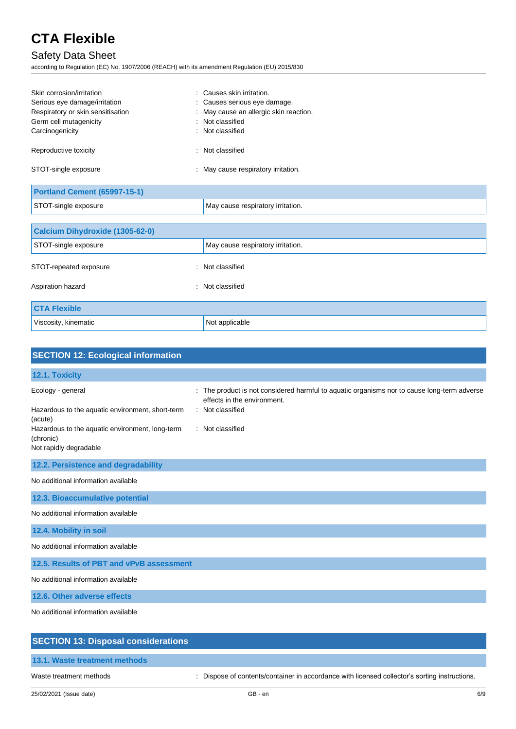## Safety Data Sheet

according to Regulation (EC) No. 1907/2006 (REACH) with its amendment Regulation (EU) 2015/830

| Skin corrosion/irritation           | : Causes skin irritation.              |
|-------------------------------------|----------------------------------------|
| Serious eye damage/irritation       | : Causes serious eye damage.           |
| Respiratory or skin sensitisation   | : May cause an allergic skin reaction. |
| Germ cell mutagenicity              | : Not classified                       |
| Carcinogenicity                     | : Not classified                       |
| Reproductive toxicity<br>۰.         | Not classified                         |
| STOT-single exposure                | : May cause respiratory irritation.    |
| <b>Portland Cement (65997-15-1)</b> |                                        |
| STOT-single exposure                | May cause respiratory irritation.      |

| Calcium Dihydroxide (1305-62-0) |                                   |  |
|---------------------------------|-----------------------------------|--|
| STOT-single exposure            | May cause respiratory irritation. |  |
| STOT-repeated exposure          | : Not classified                  |  |
| Aspiration hazard               | : Not classified                  |  |
| <b>CTA Flexible</b>             |                                   |  |
| Viscosity, kinematic            | Not applicable                    |  |

| <b>SECTION 12: Ecological information</b>                                                                                                                                  |                                                                                                                                                                  |
|----------------------------------------------------------------------------------------------------------------------------------------------------------------------------|------------------------------------------------------------------------------------------------------------------------------------------------------------------|
| 12.1. Toxicity                                                                                                                                                             |                                                                                                                                                                  |
| Ecology - general<br>Hazardous to the aquatic environment, short-term<br>(acute)<br>Hazardous to the aquatic environment, long-term<br>(chronic)<br>Not rapidly degradable | The product is not considered harmful to aquatic organisms nor to cause long-term adverse<br>effects in the environment.<br>: Not classified<br>: Not classified |
| 12.2. Persistence and degradability                                                                                                                                        |                                                                                                                                                                  |
| No additional information available                                                                                                                                        |                                                                                                                                                                  |
| 12.3. Bioaccumulative potential                                                                                                                                            |                                                                                                                                                                  |
| No additional information available                                                                                                                                        |                                                                                                                                                                  |
| 12.4. Mobility in soil                                                                                                                                                     |                                                                                                                                                                  |
| No additional information available                                                                                                                                        |                                                                                                                                                                  |
| 12.5. Results of PBT and vPvB assessment                                                                                                                                   |                                                                                                                                                                  |
| No additional information available                                                                                                                                        |                                                                                                                                                                  |
| 12.6. Other adverse effects                                                                                                                                                |                                                                                                                                                                  |
| No additional information available                                                                                                                                        |                                                                                                                                                                  |
| <b>SECTION 13: Disposal considerations</b>                                                                                                                                 |                                                                                                                                                                  |

**13.1. Waste treatment methods**

Waste treatment methods : Dispose of contents/container in accordance with licensed collector's sorting instructions.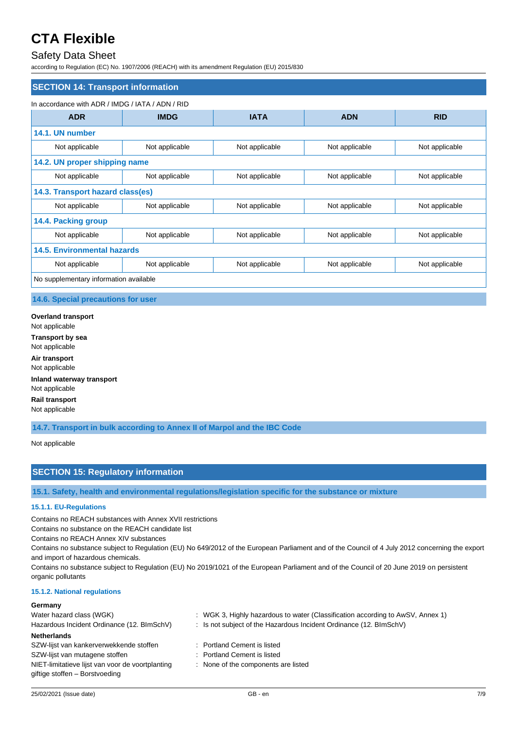### Safety Data Sheet

according to Regulation (EC) No. 1907/2006 (REACH) with its amendment Regulation (EU) 2015/830

| <b>SECTION 14: Transport information</b>         |                |                |                |                |
|--------------------------------------------------|----------------|----------------|----------------|----------------|
| In accordance with ADR / IMDG / IATA / ADN / RID |                |                |                |                |
| <b>ADR</b>                                       | <b>IMDG</b>    | <b>IATA</b>    | <b>ADN</b>     | <b>RID</b>     |
| 14.1. UN number                                  |                |                |                |                |
| Not applicable                                   | Not applicable | Not applicable | Not applicable | Not applicable |
| 14.2. UN proper shipping name                    |                |                |                |                |
| Not applicable                                   | Not applicable | Not applicable | Not applicable | Not applicable |
| 14.3. Transport hazard class(es)                 |                |                |                |                |
| Not applicable                                   | Not applicable | Not applicable | Not applicable | Not applicable |
| 14.4. Packing group                              |                |                |                |                |
| Not applicable                                   | Not applicable | Not applicable | Not applicable | Not applicable |
| <b>14.5. Environmental hazards</b>               |                |                |                |                |
| Not applicable                                   | Not applicable | Not applicable | Not applicable | Not applicable |
| No supplementary information available           |                |                |                |                |

#### **14.6. Special precautions for user**

**Overland transport** Not applicable **Transport by sea** Not applicable **Air transport** Not applicable **Inland waterway transport** Not applicable **Rail transport** Not applicable

**14.7. Transport in bulk according to Annex II of Marpol and the IBC Code**

Not applicable

### **SECTION 15: Regulatory information**

**15.1. Safety, health and environmental regulations/legislation specific for the substance or mixture**

#### **15.1.1. EU-Regulations**

Contains no REACH substances with Annex XVII restrictions

Contains no substance on the REACH candidate list

Contains no REACH Annex XIV substances

Contains no substance subject to Regulation (EU) No 649/2012 of the European Parliament and of the Council of 4 July 2012 concerning the export and import of hazardous chemicals.

Contains no substance subject to Regulation (EU) No 2019/1021 of the European Parliament and of the Council of 20 June 2019 on persistent organic pollutants

#### **15.1.2. National regulations**

#### **Germany**

| Water hazard class (WGK)                         | : WGK 3, Highly hazardous to water (Classification according to AwSV, Annex 1) |
|--------------------------------------------------|--------------------------------------------------------------------------------|
| Hazardous Incident Ordinance (12. BImSchV)       | : Is not subject of the Hazardous Incident Ordinance $(12. \text{BlmSchV})$    |
| <b>Netherlands</b>                               |                                                                                |
| SZW-lijst van kankerverwekkende stoffen          | : Portland Cement is listed                                                    |
| SZW-lijst van mutagene stoffen                   | : Portland Cement is listed                                                    |
| NIET-limitatieve lijst van voor de voortplanting | : None of the components are listed                                            |
| giftige stoffen - Borstvoeding                   |                                                                                |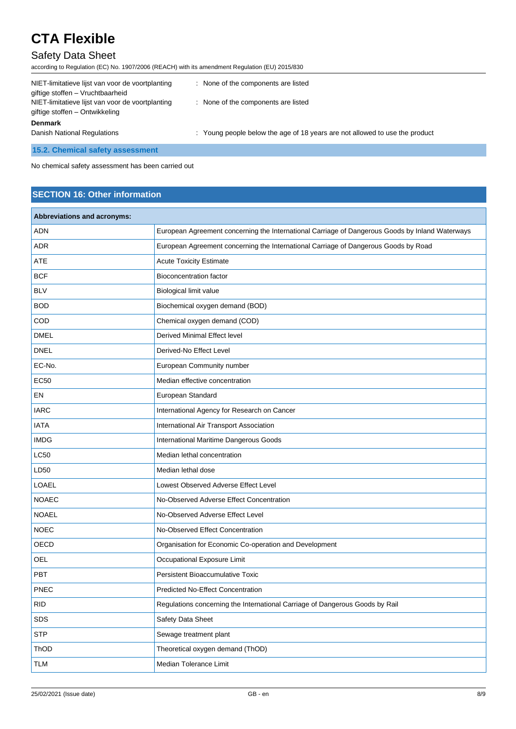## Safety Data Sheet

| according to Regulation (EC) No. 1907/2006 (REACH) with its amendment Regulation (EU) 2015/830 |                                                                             |
|------------------------------------------------------------------------------------------------|-----------------------------------------------------------------------------|
| NIET-limitatieve lijst van voor de voortplanting<br>giftige stoffen - Vruchtbaarheid           | : None of the components are listed                                         |
| NIET-limitatieve lijst van voor de voortplanting<br>giftige stoffen – Ontwikkeling             | : None of the components are listed                                         |
| <b>Denmark</b>                                                                                 |                                                                             |
| Danish National Regulations                                                                    | : Young people below the age of 18 years are not allowed to use the product |
| 15.2. Chemical safety assessment                                                               |                                                                             |

No chemical safety assessment has been carried out

### **SECTION 16: Other information**

| Abbreviations and acronyms: |                                                                                                 |
|-----------------------------|-------------------------------------------------------------------------------------------------|
| ADN                         | European Agreement concerning the International Carriage of Dangerous Goods by Inland Waterways |
| <b>ADR</b>                  | European Agreement concerning the International Carriage of Dangerous Goods by Road             |
| ATE                         | <b>Acute Toxicity Estimate</b>                                                                  |
| <b>BCF</b>                  | <b>Bioconcentration factor</b>                                                                  |
| <b>BLV</b>                  | Biological limit value                                                                          |
| <b>BOD</b>                  | Biochemical oxygen demand (BOD)                                                                 |
| COD                         | Chemical oxygen demand (COD)                                                                    |
| <b>DMEL</b>                 | <b>Derived Minimal Effect level</b>                                                             |
| <b>DNEL</b>                 | Derived-No Effect Level                                                                         |
| EC-No.                      | European Community number                                                                       |
| <b>EC50</b>                 | Median effective concentration                                                                  |
| EN                          | European Standard                                                                               |
| <b>IARC</b>                 | International Agency for Research on Cancer                                                     |
| <b>IATA</b>                 | International Air Transport Association                                                         |
| <b>IMDG</b>                 | International Maritime Dangerous Goods                                                          |
| <b>LC50</b>                 | Median lethal concentration                                                                     |
| LD50                        | Median lethal dose                                                                              |
| <b>LOAEL</b>                | Lowest Observed Adverse Effect Level                                                            |
| <b>NOAEC</b>                | No-Observed Adverse Effect Concentration                                                        |
| <b>NOAEL</b>                | No-Observed Adverse Effect Level                                                                |
| <b>NOEC</b>                 | No-Observed Effect Concentration                                                                |
| OECD                        | Organisation for Economic Co-operation and Development                                          |
| OEL                         | Occupational Exposure Limit                                                                     |
| PBT                         | <b>Persistent Bioaccumulative Toxic</b>                                                         |
| PNEC                        | <b>Predicted No-Effect Concentration</b>                                                        |
| <b>RID</b>                  | Regulations concerning the International Carriage of Dangerous Goods by Rail                    |
| SDS                         | Safety Data Sheet                                                                               |
| <b>STP</b>                  | Sewage treatment plant                                                                          |
| ThOD                        | Theoretical oxygen demand (ThOD)                                                                |
| <b>TLM</b>                  | Median Tolerance Limit                                                                          |